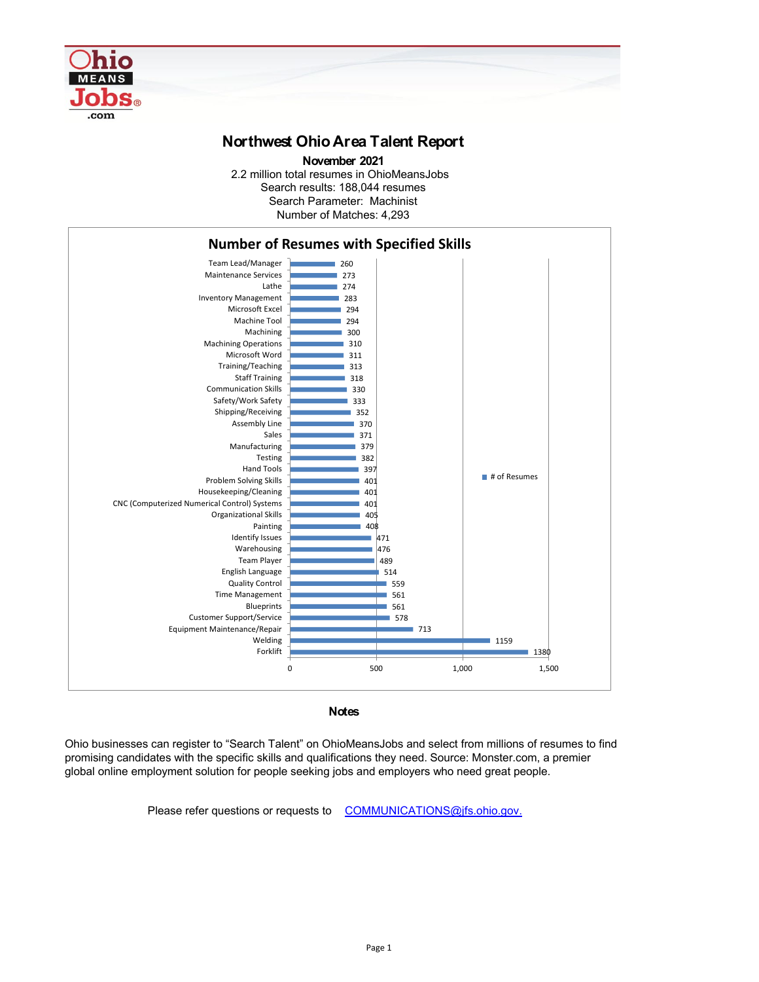

## **Northwest Ohio Area Talent Report**

2.2 million total resumes in OhioMeansJobs Search results: 188,044 resumes Number of Matches: 4,293 **November 2021** Search Parameter: Machinist

**Notes**

Ohio businesses can register to "Search Talent" on OhioMeansJobs and select from millions of resumes to find promising candidates with the specific skills and qualifications they need. Source: Monster.com, a premier global online employment solution for people seeking jobs and employers who need great people.

## Please refer questions or requests to [COMMUNICATIONS@jfs.ohio.gov.](mailto:COMMUNICATIONS@jfs.ohio.gov.)